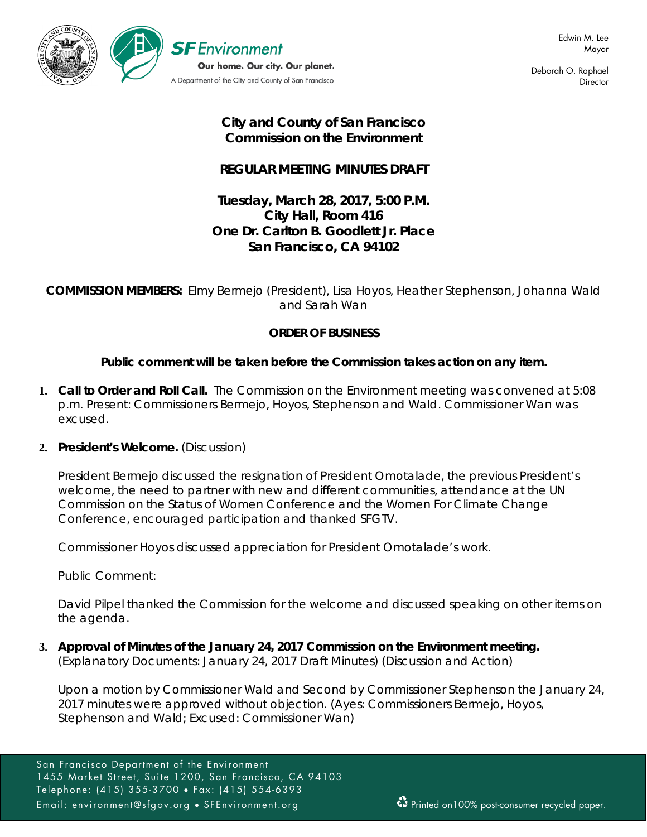

Deborah O. Raphael **Director** 

# **City and County of San Francisco Commission on the Environment**

# **REGULAR MEETING MINUTES DRAFT**

# **Tuesday, March 28, 2017, 5:00 P.M. City Hall, Room 416 One Dr. Carlton B. Goodlett Jr. Place San Francisco, CA 94102**

**COMMISSION MEMBERS:** Elmy Bermejo (President), Lisa Hoyos, Heather Stephenson, Johanna Wald and Sarah Wan

# **ORDER OF BUSINESS**

# **Public comment will be taken before the Commission takes action on any item.**

**1. Call to Order and Roll Call.** The Commission on the Environment meeting was convened at 5:08 p.m. Present: Commissioners Bermejo, Hoyos, Stephenson and Wald. Commissioner Wan was excused.

## **2. President's Welcome.** (Discussion)

President Bermejo discussed the resignation of President Omotalade, the previous President's welcome, the need to partner with new and different communities, attendance at the UN Commission on the Status of Women Conference and the Women For Climate Change Conference, encouraged participation and thanked SFGTV.

Commissioner Hoyos discussed appreciation for President Omotalade's work.

Public Comment:

David Pilpel thanked the Commission for the welcome and discussed speaking on other items on the agenda.

**3. Approval of Minutes of the January 24, 2017 Commission on the Environment meeting.**  (Explanatory Documents: January 24, 2017 Draft Minutes) (Discussion and Action)

Upon a motion by Commissioner Wald and Second by Commissioner Stephenson the January 24, 2017 minutes were approved without objection. (Ayes: Commissioners Bermejo, Hoyos, Stephenson and Wald; Excused: Commissioner Wan)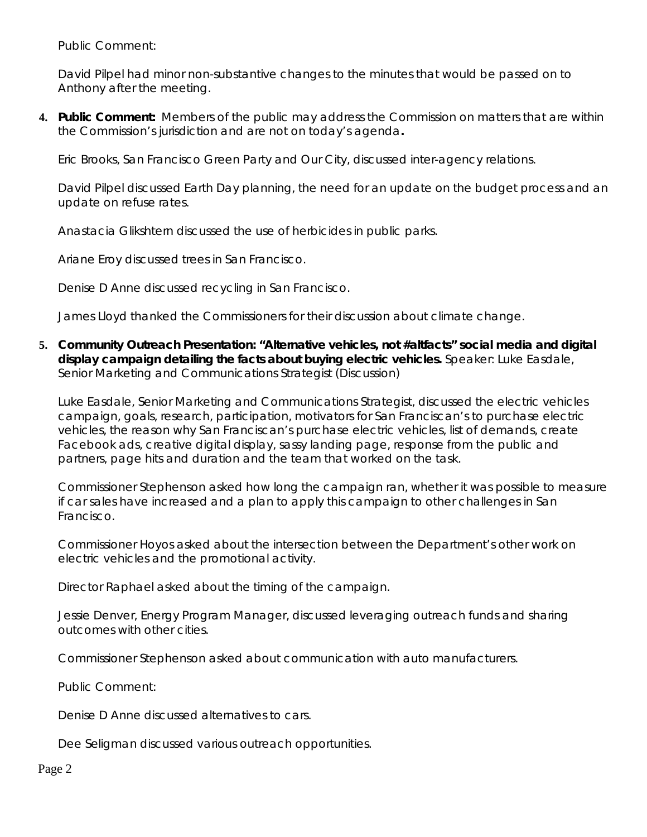Public Comment:

David Pilpel had minor non-substantive changes to the minutes that would be passed on to Anthony after the meeting.

**4. Public Comment:** Members of the public may address the Commission on matters that are within the Commission's jurisdiction and are not on today's agenda**.**

Eric Brooks, San Francisco Green Party and Our City, discussed inter-agency relations.

David Pilpel discussed Earth Day planning, the need for an update on the budget process and an update on refuse rates.

Anastacia Glikshtern discussed the use of herbicides in public parks.

Ariane Eroy discussed trees in San Francisco.

Denise D Anne discussed recycling in San Francisco.

James Lloyd thanked the Commissioners for their discussion about climate change.

**5. Community Outreach Presentation: "Alternative vehicles, not #altfacts" social media and digital display campaign detailing the facts about buying electric vehicles.** Speaker: Luke Easdale, Senior Marketing and Communications Strategist (Discussion)

Luke Easdale, Senior Marketing and Communications Strategist, discussed the electric vehicles campaign, goals, research, participation, motivators for San Franciscan's to purchase electric vehicles, the reason why San Franciscan's purchase electric vehicles, list of demands, create Facebook ads, creative digital display, sassy landing page, response from the public and partners, page hits and duration and the team that worked on the task.

Commissioner Stephenson asked how long the campaign ran, whether it was possible to measure if car sales have increased and a plan to apply this campaign to other challenges in San Francisco.

Commissioner Hoyos asked about the intersection between the Department's other work on electric vehicles and the promotional activity.

Director Raphael asked about the timing of the campaign.

Jessie Denver, Energy Program Manager, discussed leveraging outreach funds and sharing outcomes with other cities.

Commissioner Stephenson asked about communication with auto manufacturers.

Public Comment:

Denise D Anne discussed alternatives to cars.

Dee Seligman discussed various outreach opportunities.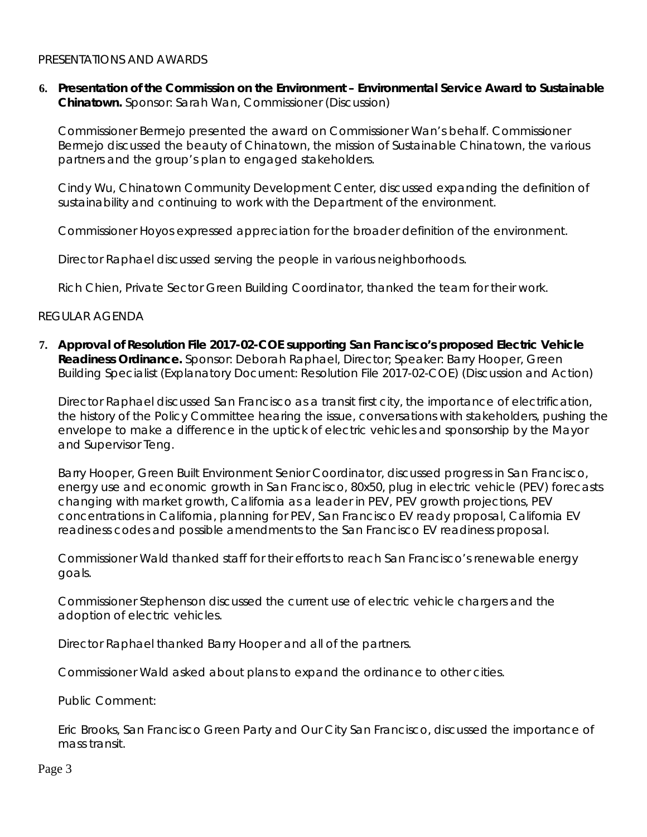#### PRESENTATIONS AND AWARDS

**6. Presentation of the Commission on the Environment – Environmental Service Award to Sustainable Chinatown.** Sponsor: Sarah Wan, Commissioner (Discussion)

Commissioner Bermejo presented the award on Commissioner Wan's behalf. Commissioner Bermejo discussed the beauty of Chinatown, the mission of Sustainable Chinatown, the various partners and the group's plan to engaged stakeholders.

Cindy Wu, Chinatown Community Development Center, discussed expanding the definition of sustainability and continuing to work with the Department of the environment.

Commissioner Hoyos expressed appreciation for the broader definition of the environment.

Director Raphael discussed serving the people in various neighborhoods.

Rich Chien, Private Sector Green Building Coordinator, thanked the team for their work.

#### REGULAR AGENDA

**7. Approval of Resolution File 2017-02-COE supporting San Francisco's proposed Electric Vehicle Readiness Ordinance.** Sponsor: Deborah Raphael, Director; Speaker: Barry Hooper, Green Building Specialist (Explanatory Document: Resolution File 2017-02-COE) (Discussion and Action)

Director Raphael discussed San Francisco as a transit first city, the importance of electrification, the history of the Policy Committee hearing the issue, conversations with stakeholders, pushing the envelope to make a difference in the uptick of electric vehicles and sponsorship by the Mayor and Supervisor Teng.

Barry Hooper, Green Built Environment Senior Coordinator, discussed progress in San Francisco, energy use and economic growth in San Francisco, 80x50, plug in electric vehicle (PEV) forecasts changing with market growth, California as a leader in PEV, PEV growth projections, PEV concentrations in California, planning for PEV, San Francisco EV ready proposal, California EV readiness codes and possible amendments to the San Francisco EV readiness proposal.

Commissioner Wald thanked staff for their efforts to reach San Francisco's renewable energy goals.

Commissioner Stephenson discussed the current use of electric vehicle chargers and the adoption of electric vehicles.

Director Raphael thanked Barry Hooper and all of the partners.

Commissioner Wald asked about plans to expand the ordinance to other cities.

Public Comment:

Eric Brooks, San Francisco Green Party and Our City San Francisco, discussed the importance of mass transit.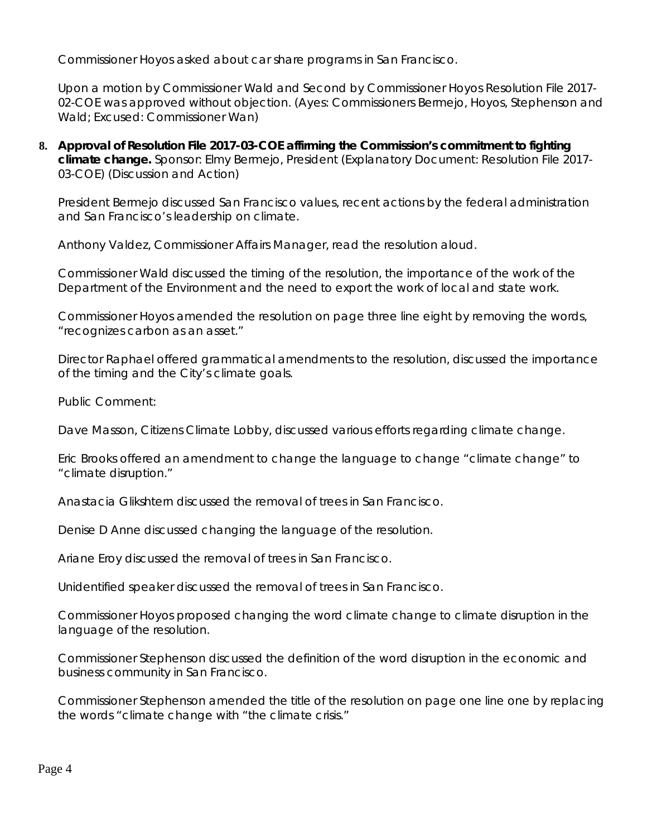Commissioner Hoyos asked about car share programs in San Francisco.

Upon a motion by Commissioner Wald and Second by Commissioner Hoyos Resolution File 2017- 02-COE was approved without objection. (Ayes: Commissioners Bermejo, Hoyos, Stephenson and Wald; Excused: Commissioner Wan)

**8. Approval of Resolution File 2017-03-COE affirming the Commission's commitment to fighting climate change.** Sponsor: Elmy Bermejo, President (Explanatory Document: Resolution File 2017- 03-COE) (Discussion and Action)

President Bermejo discussed San Francisco values, recent actions by the federal administration and San Francisco's leadership on climate.

Anthony Valdez, Commissioner Affairs Manager, read the resolution aloud.

Commissioner Wald discussed the timing of the resolution, the importance of the work of the Department of the Environment and the need to export the work of local and state work.

Commissioner Hoyos amended the resolution on page three line eight by removing the words, "recognizes carbon as an asset."

Director Raphael offered grammatical amendments to the resolution, discussed the importance of the timing and the City's climate goals.

Public Comment:

Dave Masson, Citizens Climate Lobby, discussed various efforts regarding climate change.

Eric Brooks offered an amendment to change the language to change "climate change" to "climate disruption."

Anastacia Glikshtern discussed the removal of trees in San Francisco.

Denise D Anne discussed changing the language of the resolution.

Ariane Eroy discussed the removal of trees in San Francisco.

Unidentified speaker discussed the removal of trees in San Francisco.

Commissioner Hoyos proposed changing the word climate change to climate disruption in the language of the resolution.

Commissioner Stephenson discussed the definition of the word disruption in the economic and business community in San Francisco.

Commissioner Stephenson amended the title of the resolution on page one line one by replacing the words "climate change with "the climate crisis."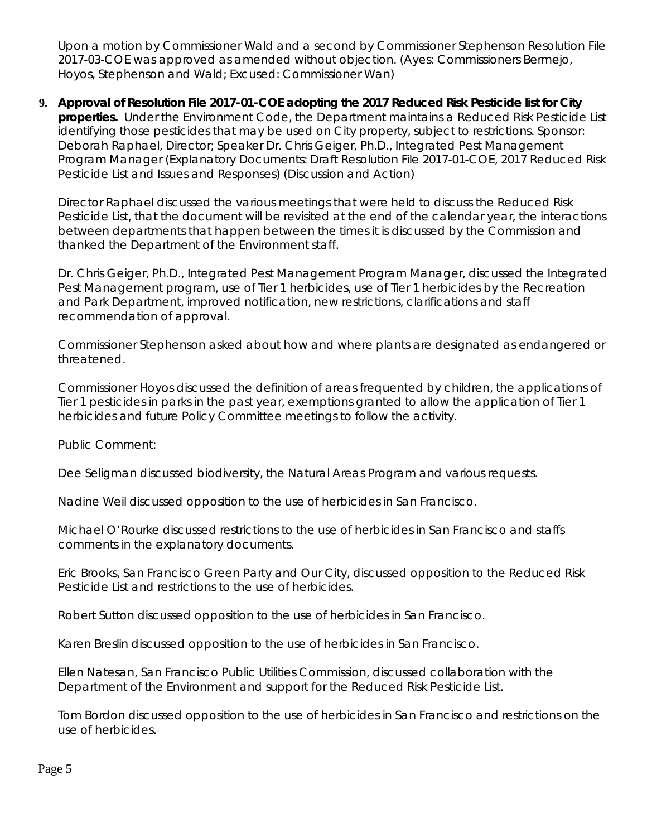Upon a motion by Commissioner Wald and a second by Commissioner Stephenson Resolution File 2017-03-COE was approved as amended without objection. (Ayes: Commissioners Bermejo, Hoyos, Stephenson and Wald; Excused: Commissioner Wan)

**9. Approval of Resolution File 2017-01-COE adopting the 2017 Reduced Risk Pesticide list for City properties.** Under the Environment Code, the Department maintains a Reduced Risk Pesticide List identifying those pesticides that may be used on City property, subject to restrictions. Sponsor: Deborah Raphael, Director; Speaker Dr. Chris Geiger, Ph.D., Integrated Pest Management Program Manager (Explanatory Documents: Draft Resolution File 2017-01-COE, 2017 Reduced Risk Pesticide List and Issues and Responses) (Discussion and Action)

Director Raphael discussed the various meetings that were held to discuss the Reduced Risk Pesticide List, that the document will be revisited at the end of the calendar year, the interactions between departments that happen between the times it is discussed by the Commission and thanked the Department of the Environment staff.

Dr. Chris Geiger, Ph.D., Integrated Pest Management Program Manager, discussed the Integrated Pest Management program, use of Tier 1 herbicides, use of Tier 1 herbicides by the Recreation and Park Department, improved notification, new restrictions, clarifications and staff recommendation of approval.

Commissioner Stephenson asked about how and where plants are designated as endangered or threatened.

Commissioner Hoyos discussed the definition of areas frequented by children, the applications of Tier 1 pesticides in parks in the past year, exemptions granted to allow the application of Tier 1 herbicides and future Policy Committee meetings to follow the activity.

Public Comment:

Dee Seligman discussed biodiversity, the Natural Areas Program and various requests.

Nadine Weil discussed opposition to the use of herbicides in San Francisco.

Michael O'Rourke discussed restrictions to the use of herbicides in San Francisco and staffs comments in the explanatory documents.

Eric Brooks, San Francisco Green Party and Our City, discussed opposition to the Reduced Risk Pesticide List and restrictions to the use of herbicides.

Robert Sutton discussed opposition to the use of herbicides in San Francisco.

Karen Breslin discussed opposition to the use of herbicides in San Francisco.

Ellen Natesan, San Francisco Public Utilities Commission, discussed collaboration with the Department of the Environment and support for the Reduced Risk Pesticide List.

Tom Bordon discussed opposition to the use of herbicides in San Francisco and restrictions on the use of herbicides.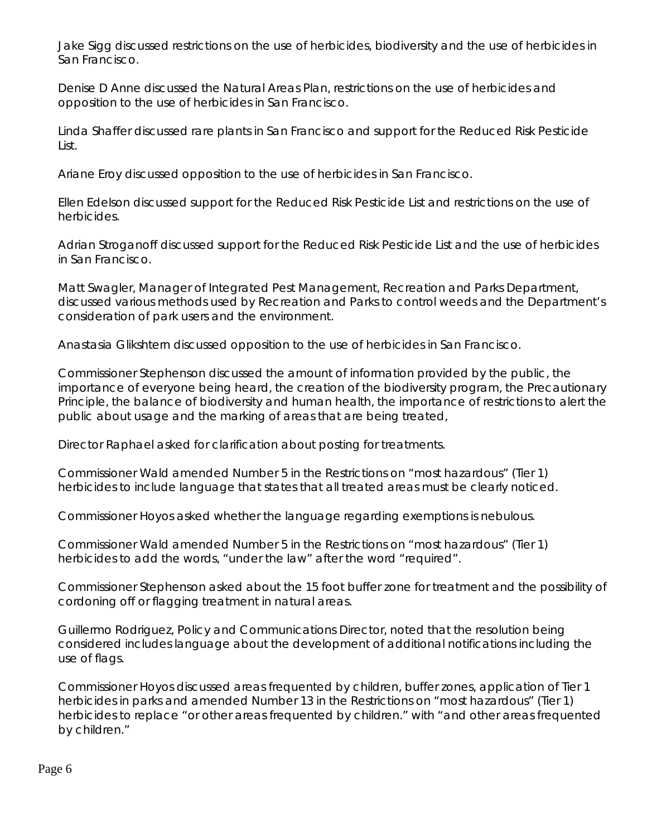Jake Sigg discussed restrictions on the use of herbicides, biodiversity and the use of herbicides in San Francisco.

Denise D Anne discussed the Natural Areas Plan, restrictions on the use of herbicides and opposition to the use of herbicides in San Francisco.

Linda Shaffer discussed rare plants in San Francisco and support for the Reduced Risk Pesticide List.

Ariane Eroy discussed opposition to the use of herbicides in San Francisco.

Ellen Edelson discussed support for the Reduced Risk Pesticide List and restrictions on the use of herbicides.

Adrian Stroganoff discussed support for the Reduced Risk Pesticide List and the use of herbicides in San Francisco.

Matt Swagler, Manager of Integrated Pest Management, Recreation and Parks Department, discussed various methods used by Recreation and Parks to control weeds and the Department's consideration of park users and the environment.

Anastasia Glikshtern discussed opposition to the use of herbicides in San Francisco.

Commissioner Stephenson discussed the amount of information provided by the public, the importance of everyone being heard, the creation of the biodiversity program, the Precautionary Principle, the balance of biodiversity and human health, the importance of restrictions to alert the public about usage and the marking of areas that are being treated,

Director Raphael asked for clarification about posting for treatments.

Commissioner Wald amended Number 5 in the Restrictions on "most hazardous" (Tier 1) herbicides to include language that states that all treated areas must be clearly noticed.

Commissioner Hoyos asked whether the language regarding exemptions is nebulous.

Commissioner Wald amended Number 5 in the Restrictions on "most hazardous" (Tier 1) herbicides to add the words, "under the law" after the word "required".

Commissioner Stephenson asked about the 15 foot buffer zone for treatment and the possibility of cordoning off or flagging treatment in natural areas.

Guillermo Rodriguez, Policy and Communications Director, noted that the resolution being considered includes language about the development of additional notifications including the use of flags.

Commissioner Hoyos discussed areas frequented by children, buffer zones, application of Tier 1 herbicides in parks and amended Number 13 in the Restrictions on "most hazardous" (Tier 1) herbicides to replace "or other areas frequented by children." with "and other areas frequented by children."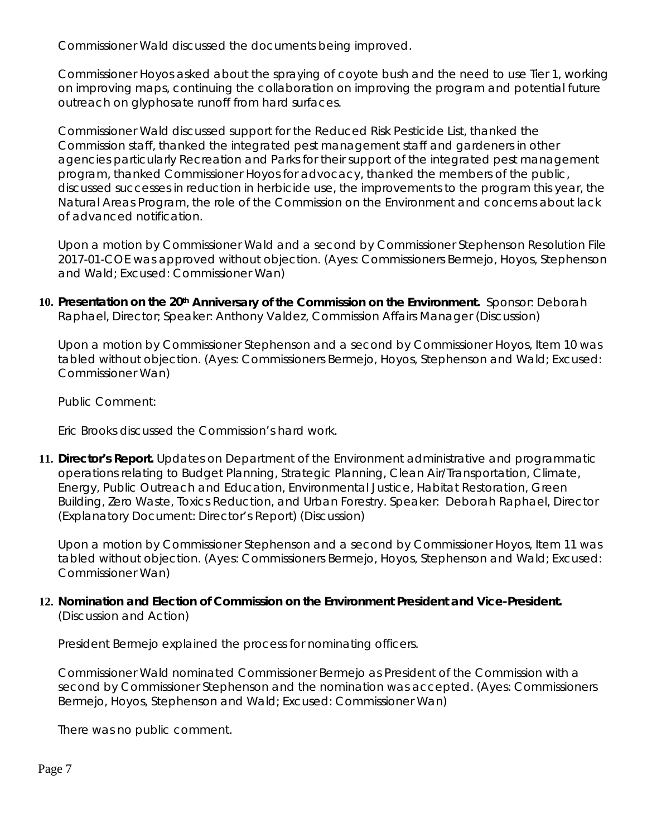Commissioner Wald discussed the documents being improved.

Commissioner Hoyos asked about the spraying of coyote bush and the need to use Tier 1, working on improving maps, continuing the collaboration on improving the program and potential future outreach on glyphosate runoff from hard surfaces.

Commissioner Wald discussed support for the Reduced Risk Pesticide List, thanked the Commission staff, thanked the integrated pest management staff and gardeners in other agencies particularly Recreation and Parks for their support of the integrated pest management program, thanked Commissioner Hoyos for advocacy, thanked the members of the public, discussed successes in reduction in herbicide use, the improvements to the program this year, the Natural Areas Program, the role of the Commission on the Environment and concerns about lack of advanced notification.

Upon a motion by Commissioner Wald and a second by Commissioner Stephenson Resolution File 2017-01-COE was approved without objection. (Ayes: Commissioners Bermejo, Hoyos, Stephenson and Wald; Excused: Commissioner Wan)

**10. Presentation on the 20th Anniversary of the Commission on the Environment.** Sponsor: Deborah Raphael, Director; Speaker: Anthony Valdez, Commission Affairs Manager (Discussion)

Upon a motion by Commissioner Stephenson and a second by Commissioner Hoyos, Item 10 was tabled without objection. (Ayes: Commissioners Bermejo, Hoyos, Stephenson and Wald; Excused: Commissioner Wan)

Public Comment:

Eric Brooks discussed the Commission's hard work.

**11. Director's Report***.* Updates on Department of the Environment administrative and programmatic operations relating to Budget Planning, Strategic Planning, Clean Air/Transportation, Climate, Energy, Public Outreach and Education, Environmental Justice, Habitat Restoration, Green Building, Zero Waste, Toxics Reduction, and Urban Forestry. Speaker: Deborah Raphael, Director (Explanatory Document: Director's Report) (Discussion)

Upon a motion by Commissioner Stephenson and a second by Commissioner Hoyos, Item 11 was tabled without objection. (Ayes: Commissioners Bermejo, Hoyos, Stephenson and Wald; Excused: Commissioner Wan)

# **12. Nomination and Election of Commission on the Environment President and Vice-President.**  (Discussion and Action)

President Bermejo explained the process for nominating officers.

Commissioner Wald nominated Commissioner Bermejo as President of the Commission with a second by Commissioner Stephenson and the nomination was accepted. (Ayes: Commissioners Bermejo, Hoyos, Stephenson and Wald; Excused: Commissioner Wan)

There was no public comment.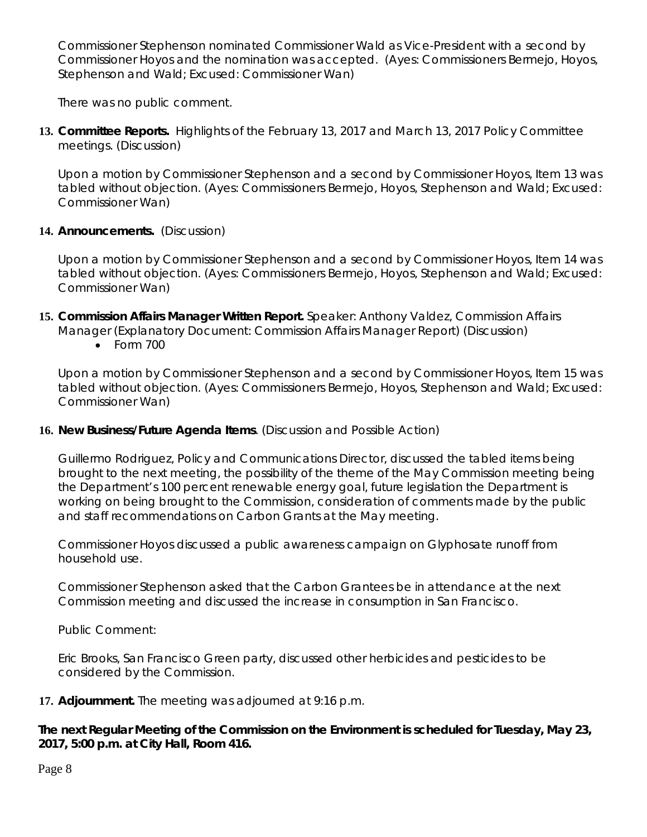Commissioner Stephenson nominated Commissioner Wald as Vice-President with a second by Commissioner Hoyos and the nomination was accepted. (Ayes: Commissioners Bermejo, Hoyos, Stephenson and Wald; Excused: Commissioner Wan)

There was no public comment.

**13. Committee Reports.** Highlights of the February 13, 2017 and March 13, 2017 Policy Committee meetings. (Discussion)

Upon a motion by Commissioner Stephenson and a second by Commissioner Hoyos, Item 13 was tabled without objection. (Ayes: Commissioners Bermejo, Hoyos, Stephenson and Wald; Excused: Commissioner Wan)

## **14. Announcements.** (Discussion)

Upon a motion by Commissioner Stephenson and a second by Commissioner Hoyos, Item 14 was tabled without objection. (Ayes: Commissioners Bermejo, Hoyos, Stephenson and Wald; Excused: Commissioner Wan)

- **15. Commission Affairs Manager Written Report.** Speaker: Anthony Valdez, Commission Affairs Manager (Explanatory Document: Commission Affairs Manager Report) (Discussion)
	- Form 700

Upon a motion by Commissioner Stephenson and a second by Commissioner Hoyos, Item 15 was tabled without objection. (Ayes: Commissioners Bermejo, Hoyos, Stephenson and Wald; Excused: Commissioner Wan)

## **16. New Business/Future Agenda Items**. (Discussion and Possible Action)

Guillermo Rodriguez, Policy and Communications Director, discussed the tabled items being brought to the next meeting, the possibility of the theme of the May Commission meeting being the Department's 100 percent renewable energy goal, future legislation the Department is working on being brought to the Commission, consideration of comments made by the public and staff recommendations on Carbon Grants at the May meeting.

Commissioner Hoyos discussed a public awareness campaign on Glyphosate runoff from household use.

Commissioner Stephenson asked that the Carbon Grantees be in attendance at the next Commission meeting and discussed the increase in consumption in San Francisco.

Public Comment:

Eric Brooks, San Francisco Green party, discussed other herbicides and pesticides to be considered by the Commission.

## **17. Adjournment.** The meeting was adjourned at 9:16 p.m.

**The next Regular Meeting of the Commission on the Environment is scheduled for Tuesday, May 23, 2017, 5:00 p.m. at City Hall, Room 416.** 

Page 8